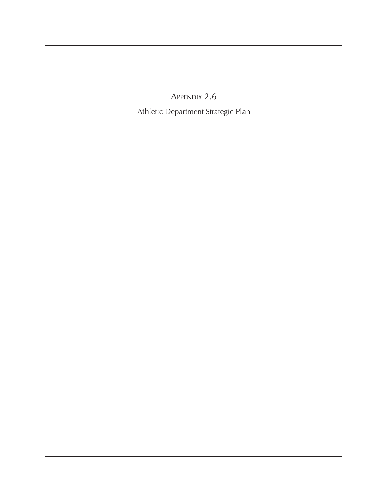Appendix 2.6

Athletic Department Strategic Plan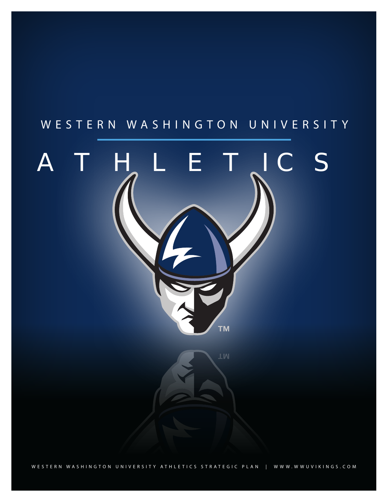#### W E S T E R N W A S H I N G T O N U N I V E R S I T Y

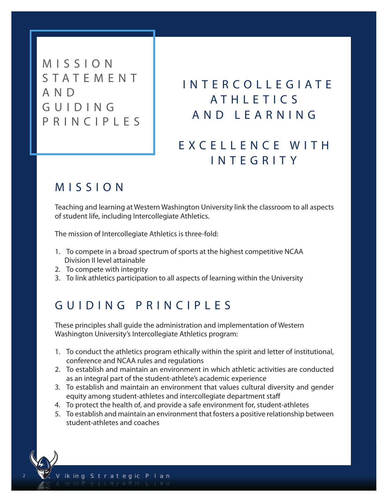M I S S I O N S T A T E M E N T A N D G U I D I N G P R I N C I P L E S

#### I N T E R C O L L E G I A T E A T H L F T L C S A N D L E A R N I N G

#### E X C E L L E N C E W I T H I N T E G R I T Y

#### M I S S I O N

Teaching and learning at Western Washington University link the classroom to all aspects of student life, including Intercollegiate Athletics.

The mission of Intercollegiate Athletics is three-fold:

- 1. To compete in a broad spectrum of sports at the highest competitive NCAA Division II level attainable
- 2. To compete with integrity
- 3. To link athletics participation to all aspects of learning within the University

#### GUIDING PRINCIPLES

These principles shall guide the administration and implementation of Western Washington University's Intercollegiate Athletics program:

- 1. To conduct the athletics program ethically within the spirit and letter of institutional, conference and NCAA rules and regulations
- 2. To establish and maintain an environment in which athletic activities are conducted as an integral part of the student-athlete's academic experience
- 3. To establish and maintain an environment that values cultural diversity and gender equity among student-athletes and intercollegiate department staff
- 4. To protect the health of, and provide a safe environment for, student-athletes
- 5. To establish and maintain an environment that fosters a positive relationship between student-athletes and coaches

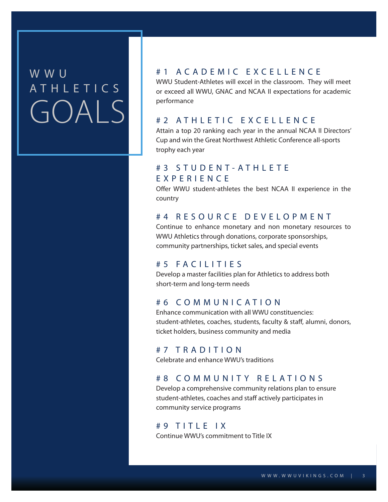#### W W U  $\blacksquare$ A T H L E T I C S are will be a vertex or at h $\Lambda$  institution. • Ethically, we will play by the rules. Period. GOALS

#### U N P A R A L L E L E D E X C E L L E N C E # 1 A C A D E M I C E X C E L L E N C E

• Athletically, we will compete and win with a watchful eye on the well-being of both our student-WWU Student-Athletes will excel in the classroom. They will meet or exceed all WWU, GNAC and NCAA II expectations for academic performance

#### # 2 A T H L E T I C E X C E L L E N C E

enable our student-athletes necessary to enable our student-athletes necessary to enable our student-athletes and compete at the highest level and to achieve unparalleled excellence. The highest Athletic Conference all-sports ervice our factor we will provide our factor of the best game-day experience and the best game-day experience and the best game-day experience and the best game-day experience and the best game-day experiment of the best g trophy each year

#### # 3 S T U D E N T - A T H L E T E E X P E R I E N C E

Offer WWU student-athletes the best NCAA II experience in the country

#### # 4 R E S O U R C E D E V E L O P M E N T

Continue to enhance monetary and non monetary resources to WWU Athletics through donations, corporate sponsorships, community partnerships, ticket sales, and special events

#### # 5 FACILITIES

Develop a master facilities plan for Athletics to address both short-term and long-term needs

#### # 6 C O M M U N I C A T I O N

Enhance communication with all WWU constituencies: student-athletes, coaches, students, faculty & staff, alumni, donors, ticket holders, business community and media

#### # 7 T R A D I T I O N

Celebrate and enhance WWU's traditions

#### # 8 C O M M U N I T Y R E L A T I O N S

Develop a comprehensive community relations plan to ensure student-athletes, coaches and staff actively participates in community service programs

#### $# 9$  TITLE IX

Continue WWU's commitment to Title IX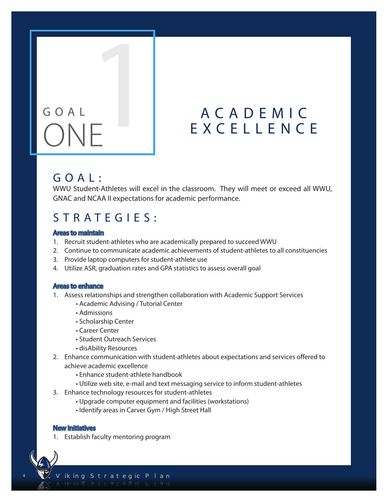## 1 G O A L ONE

#### A C A D E M I C E X C E L L E N C E

#### G O A L :

WWU Student-Athletes will excel in the classroom. They will meet or exceed all WWU, GNAC and NCAA II expectations for academic performance.

#### .  $STRATEGIES:$

#### Areas to maintain

- 1. Recruit student-athletes who are academically prepared to succeed WWU
- 2. Continue to communicate academic achievements of student-athletes to all constituencies
- 3. Provide laptop computers for student-athlete use
- 4. Utilize ASR, graduation rates and GPA statistics to assess overall goal

#### Areas to enhance

- 1. Assess relationships and strengthen collaboration with Academic Support Services
	- Academic Advising / Tutorial Center
	- Admissions
	- Scholarship Center
	- Career Center
	- Student Outreach Services
	- disAbility Resources
- 2. Enhance communication with student-athletes about expectations and services offered to achieve academic excellence
	- Enhance student-athlete handbook
	- Utilize web site, e-mail and text messaging service to inform student-athletes
- 3. Enhance technology resources for student-athletes
	- Upgrade computer equipment and facilities (workstations)
	- Identify areas in Carver Gym / High Street Hall

#### New initiatives

4

1. Establish faculty mentoring program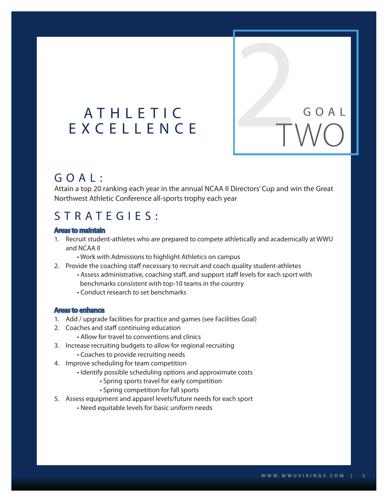# A T H L E T I C<br>E X C E L L E N C E ATHLETIC<br>EXCELLENCE<br>TWO

#### G O A L :

Attain a top 20 ranking each year in the annual NCAA II Directors' Cup and win the Great Northwest Athletic Conference all-sports trophy each year

#### S T R A T E G I E S :

#### Areas to maintain

- 1. Recruit student-athletes who are prepared to compete athletically and academically at WWU and NCAA II
	- Work with Admissions to highlight Athletics on campus
- 2. Provide the coaching staff necessary to recruit and coach quality student-athletes
	- Assess administrative, coaching staff, and support staff levels for each sport with benchmarks consistent with top-10 teams in the country
	- Conduct research to set benchmarks

#### Areas to enhance

- 1. Add / upgrade facilities for practice and games (see Facilities Goal)
- 2. Coaches and staff continuing education
	- Allow for travel to conventions and clinics
- 3. Increase recruiting budgets to allow for regional recruiting
	- Coaches to provide recruiting needs
- 4. Improve scheduling for team competition
	- Identify possible scheduling options and approximate costs
		- Spring sports travel for early competition
		- Spring competition for fall sports
- 5. Assess equipment and apparel levels/future needs for each sport
	- Need equitable levels for basic uniform needs

TWO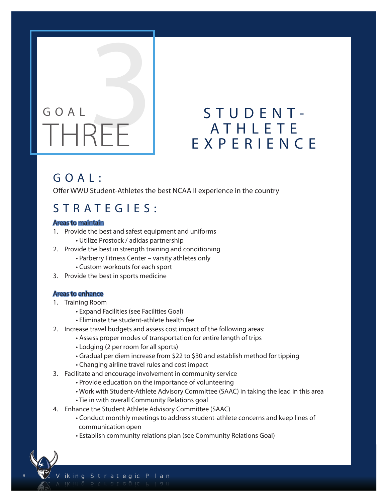### $G O A l$ THREE

## S T U D E N T -<br>A T H L E T E A TUDENT E X P E R I E N C E

#### G O A L :

Offer WWU Student-Athletes the best NCAA II experience in the country

#### S T R A T E G I E S :

#### Areas to maintain

- 1. Provide the best and safest equipment and uniforms
	- Utilize Prostock / adidas partnership
- 2. Provide the best in strength training and conditioning
	- Parberry Fitness Center varsity athletes only
	- Custom workouts for each sport
- 3. Provide the best in sports medicine

#### Areas to enhance

- 1. Training Room
	- Expand Facilities (see Facilities Goal)
	- Eliminate the student-athlete health fee
- 2. Increase travel budgets and assess cost impact of the following areas:
	- Assess proper modes of transportation for entire length of trips
	- Lodging (2 per room for all sports)
	- Gradual per diem increase from \$22 to \$30 and establish method for tipping
	- Changing airline travel rules and cost impact
- 3. Facilitate and encourage involvement in community service
	- Provide education on the importance of volunteering
	- Work with Student-Athlete Advisory Committee (SAAC) in taking the lead in this area
	- Tie in with overall Community Relations goal
- 4. Enhance the Student Athlete Advisory Committee (SAAC)
	- Conduct monthly meetings to address student-athlete concerns and keep lines of communication open
	- Establish community relations plan (see Community Relations Goal)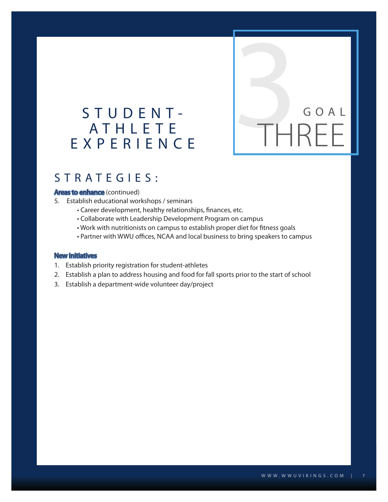#### S T U D E N T - A T H L E T E E X P E R I E N C E

#### S T R A T E G I E S :

#### Areas to enhance (continued)

- 5. Establish educational workshops / seminars
	- Career development, healthy relationships, finances, etc.
	- Collaborate with Leadership Development Program on campus
	- Work with nutritionists on campus to establish proper diet for fitness goals
	- Partner with WWU offices, NCAA and local business to bring speakers to campus

#### New initiatives

- 1. Establish priority registration for student-athletes
- 2. Establish a plan to address housing and food for fall sports prior to the start of school
- 3. Establish a department-wide volunteer day/project

**S**<br>THREE

G O A L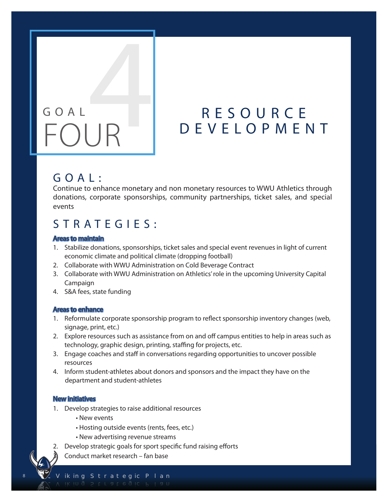# G O A L GOAL<br>FOUR

#### R E S O U R C E D E V E L O P M E N T

#### G O A L :

Continue to enhance monetary and non monetary resources to WWU Athletics through donations, corporate sponsorships, community partnerships, ticket sales, and special events

#### S T R A T E G I E S :

#### Areas to maintain

- 1. Stabilize donations, sponsorships, ticket sales and special event revenues in light of current economic climate and political climate (dropping football)
- 2. Collaborate with WWU Administration on Cold Beverage Contract
- 3. Collaborate with WWU Administration on Athletics' role in the upcoming University Capital Campaign
- 4. S&A fees, state funding

#### Areas to enhance

- 1. Reformulate corporate sponsorship program to reflect sponsorship inventory changes (web, signage, print, etc.)
- 2. Explore resources such as assistance from on and off campus entities to help in areas such as technology, graphic design, printing, staffing for projects, etc.
- 3. Engage coaches and staff in conversations regarding opportunities to uncover possible resources
- 4. Inform student-athletes about donors and sponsors and the impact they have on the department and student-athletes

#### New initiatives

8

- 1. Develop strategies to raise additional resources
	- New events
	- Hosting outside events (rents, fees, etc.)
	- New advertising revenue streams
- 2. Develop strategic goals for sport specific fund raising efforts
- 3. Conduct market research fan base

iking Strategic Plan VIKING STRATEGIC PLANT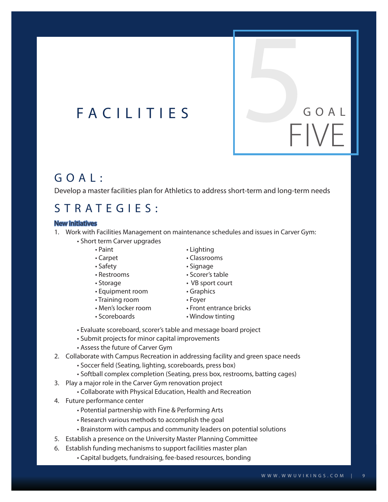#### G O A L :

Develop a master facilities plan for Athletics to address short-term and long-term needs

#### S T R A T E G I E S :

#### New initiatives

- 1. Work with Facilities Management on maintenance schedules and issues in Carver Gym:
	- Short term Carver upgrades
		- Paint Lighting
		- Carpet Classrooms
		- Safety  **Signage**
		- Restrooms Scorer's table
		- Storage VB sport court
		- Equipment room Graphics
		- Training room Foyer
		-
		-
		- Men's locker room Front entrance bricks
		- Scoreboards Window tinting
	- Evaluate scoreboard, scorer's table and message board project
	- Submit projects for minor capital improvements
	- Assess the future of Carver Gym
- 2. Collaborate with Campus Recreation in addressing facility and green space needs
	- Soccer field (Seating, lighting, scoreboards, press box)
	- Softball complex completion (Seating, press box, restrooms, batting cages)
- 3. Play a major role in the Carver Gym renovation project
	- Collaborate with Physical Education, Health and Recreation
- 4. Future performance center
	- Potential partnership with Fine & Performing Arts
	- Research various methods to accomplish the goal
	- Brainstorm with campus and community leaders on potential solutions
- 5. Establish a presence on the University Master Planning Committee
- 6. Establish funding mechanisms to support facilities master plan
	- Capital budgets, fundraising, fee-based resources, bonding
- 
- 
- G O A L FIVE F A C I L I T I E S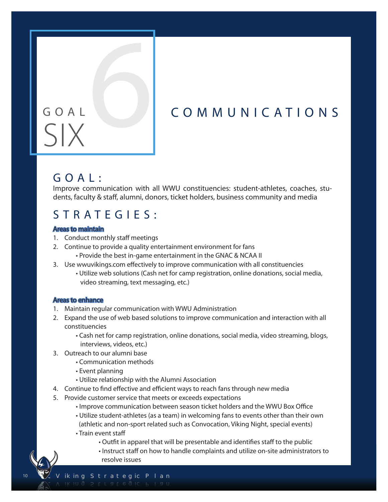#### GOAL COMMUNICATIONS

# SIX6

#### G O A L :

Improve communication with all WWU constituencies: student-athletes, coaches, students, faculty & staff, alumni, donors, ticket holders, business community and media

#### S T R A T E G I E S :

#### Areas to maintain

- 1. Conduct monthly staff meetings
- 2. Continue to provide a quality entertainment environment for fans • Provide the best in-game entertainment in the GNAC & NCAA II
- 3. Use wwuvikings.com effectively to improve communication with all constituencies
	- Utilize web solutions (Cash net for camp registration, online donations, social media, video streaming, text messaging, etc.)

#### Areas to enhance

- 1. Maintain regular communication with WWU Administration
- 2. Expand the use of web based solutions to improve communication and interaction with all constituencies
	- Cash net for camp registration, online donations, social media, video streaming, blogs, interviews, videos, etc.)
- 3. Outreach to our alumni base
	- Communication methods
	- Event planning
	- Utilize relationship with the Alumni Association
- 4. Continue to find effective and efficient ways to reach fans through new media
- 5. Provide customer service that meets or exceeds expectations
	- Improve communication between season ticket holders and the WWU Box Office
	- Utilize student-athletes (as a team) in welcoming fans to events other than their own (athletic and non-sport related such as Convocation, Viking Night, special events)
	- Train event staff

- Outfit in apparel that will be presentable and identifies staff to the public
- Instruct staff on how to handle complaints and utilize on-site administrators to resolve issues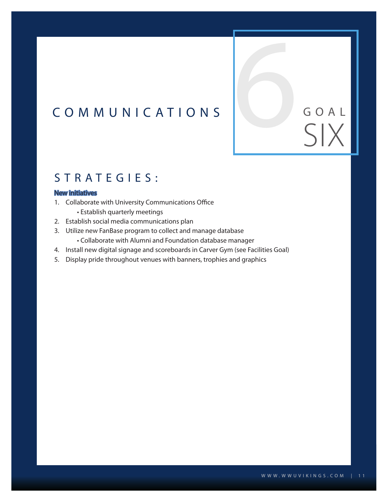#### C O M M U N I C A T I O N S

#### STRATEGIES:

#### New initiatives

- 1. Collaborate with University Communications Office
	- Establish quarterly meetings
- 2. Establish social media communications plan
- 3. Utilize new FanBase program to collect and manage database
	- Collaborate with Alumni and Foundation database manager
- 4. Install new digital signage and scoreboards in Carver Gym (see Facilities Goal)
- 5. Display pride throughout venues with banners, trophies and graphics

COAL GOAL SIX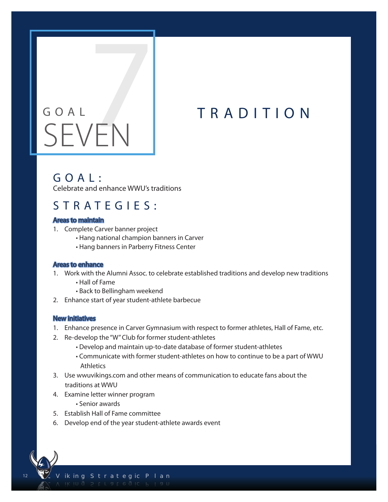# GOAL TRADITION SEVEN

#### G O A L :

Celebrate and enhance WWU's traditions

#### S T R A T E G I E S :

#### Areas to maintain

- 1. Complete Carver banner project
	- Hang national champion banners in Carver
	- Hang banners in Parberry Fitness Center

#### Areas to enhance

- 1. Work with the Alumni Assoc. to celebrate established traditions and develop new traditions
	- Hall of Fame
	- Back to Bellingham weekend
- 2. Enhance start of year student-athlete barbecue

#### New initiatives

- 1. Enhance presence in Carver Gymnasium with respect to former athletes, Hall of Fame, etc.
- 2. Re-develop the "W" Club for former student-athletes
	- Develop and maintain up-to-date database of former student-athletes
	- Communicate with former student-athletes on how to continue to be a part of WWU **Athletics**
- 3. Use wwuvikings.com and other means of communication to educate fans about the traditions at WWU
- 4. Examine letter winner program
	- Senior awards
- 5. Establish Hall of Fame committee
- 6. Develop end of the year student-athlete awards event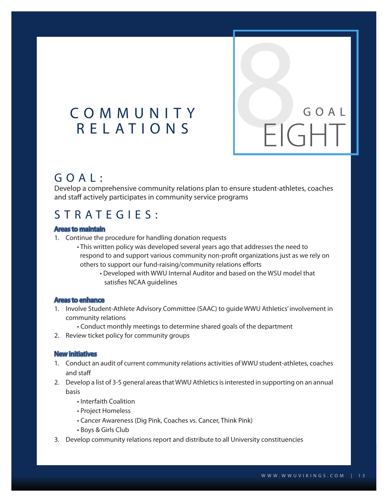#### C O M M U N I T Y R E L A T I O N S

#### G O A L :

Develop a comprehensive community relations plan to ensure student-athletes, coaches and staff actively participates in community service programs

#### S T R A T E G I E S :

#### Areas to maintain

- 1. Continue the procedure for handling donation requests
	- This written policy was developed several years ago that addresses the need to respond to and support various community non-profit organizations just as we rely on others to support our fund-raising/community relations efforts
		- Developed with WWU Internal Auditor and based on the WSU model that satisfies NCAA guidelines

#### Areas to enhance

- 1. Involve Student-Athlete Advisory Committee (SAAC) to guide WWU Athletics' involvement in community relations
	- Conduct monthly meetings to determine shared goals of the department
- 2. Review ticket policy for community groups

#### New initiatives

- 1. Conduct an audit of current community relations activities of WWU student-athletes, coaches and staff
- 2. Develop a list of 3-5 general areas that WWU Athletics is interested in supporting on an annual basis
	- Interfaith Coalition
	- Project Homeless
	- Cancer Awareness (Dig Pink, Coaches vs. Cancer, Think Pink)
	- Boys & Girls Club
- 3. Develop community relations report and distribute to all University constituencies

EIGHT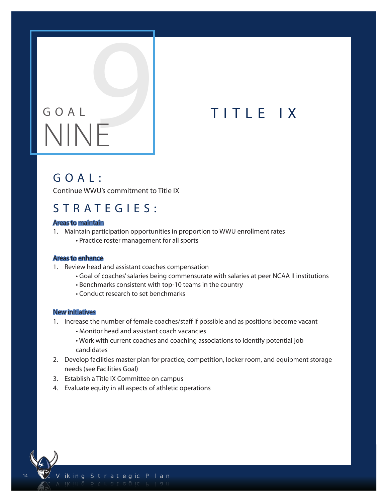# G O A L GOAL TITLE IX

#### G O A L :

Continue WWU's commitment to Title IX

#### S T R A T E G I E S :

#### Areas to maintain

- 1. Maintain participation opportunities in proportion to WWU enrollment rates
	- Practice roster management for all sports

#### Areas to enhance

- 1. Review head and assistant coaches compensation
	- Goal of coaches' salaries being commensurate with salaries at peer NCAA II institutions
	- Benchmarks consistent with top-10 teams in the country
	- Conduct research to set benchmarks

#### New initiatives

- 1. Increase the number of female coaches/staff if possible and as positions become vacant
	- Monitor head and assistant coach vacancies
	- Work with current coaches and coaching associations to identify potential job candidates
- 2. Develop facilities master plan for practice, competition, locker room, and equipment storage needs (see Facilities Goal)
- 3. Establish a Title IX Committee on campus
- 4. Evaluate equity in all aspects of athletic operations